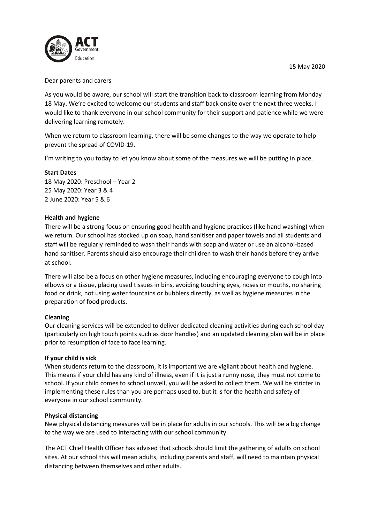

Dear parents and carers

As you would be aware, our school will start the transition back to classroom learning from Monday 18 May. We're excited to welcome our students and staff back onsite over the next three weeks. I would like to thank everyone in our school community for their support and patience while we were delivering learning remotely.

When we return to classroom learning, there will be some changes to the way we operate to help prevent the spread of COVID-19.

I'm writing to you today to let you know about some of the measures we will be putting in place.

#### **Start Dates**

18 May 2020: Preschool – Year 2 25 May 2020: Year 3 & 4 2 June 2020: Year 5 & 6

### **Health and hygiene**

There will be a strong focus on ensuring good health and hygiene practices (like hand washing) when we return. Our school has stocked up on soap, hand sanitiser and paper towels and all students and staff will be regularly reminded to wash their hands with soap and water or use an alcohol-based hand sanitiser. Parents should also encourage their children to wash their hands before they arrive at school.

There will also be a focus on other hygiene measures, including encouraging everyone to cough into elbows or a tissue, placing used tissues in bins, avoiding touching eyes, noses or mouths, no sharing food or drink, not using water fountains or bubblers directly, as well as hygiene measures in the preparation of food products.

### **Cleaning**

Our cleaning services will be extended to deliver dedicated cleaning activities during each school day (particularly on high touch points such as door handles) and an updated cleaning plan will be in place prior to resumption of face to face learning.

### **If your child is sick**

When students return to the classroom, it is important we are vigilant about health and hygiene. This means if your child has any kind of illness, even if it is just a runny nose, they must not come to school. If your child comes to school unwell, you will be asked to collect them. We will be stricter in implementing these rules than you are perhaps used to, but it is for the health and safety of everyone in our school community.

### **Physical distancing**

New physical distancing measures will be in place for adults in our schools. This will be a big change to the way we are used to interacting with our school community.

The ACT Chief Health Officer has advised that schools should limit the gathering of adults on school sites. At our school this will mean adults, including parents and staff, will need to maintain physical distancing between themselves and other adults.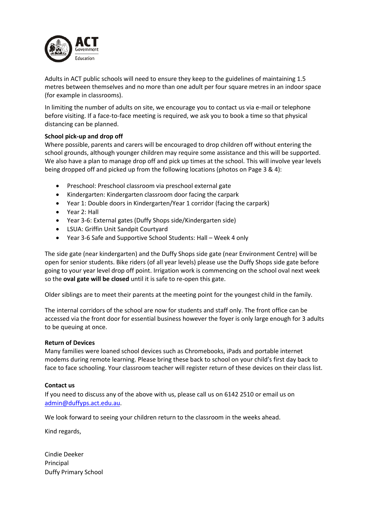

Adults in ACT public schools will need to ensure they keep to the guidelines of maintaining 1.5 metres between themselves and no more than one adult per four square metres in an indoor space (for example in classrooms).

In limiting the number of adults on site, we encourage you to contact us via e-mail or telephone before visiting. If a face-to-face meeting is required, we ask you to book a time so that physical distancing can be planned.

## **School pick-up and drop off**

Where possible, parents and carers will be encouraged to drop children off without entering the school grounds, although younger children may require some assistance and this will be supported. We also have a plan to manage drop off and pick up times at the school. This will involve year levels being dropped off and picked up from the following locations (photos on Page 3 & 4):

- Preschool: Preschool classroom via preschool external gate
- Kindergarten: Kindergarten classroom door facing the carpark
- Year 1: Double doors in Kindergarten/Year 1 corridor (facing the carpark)
- Year 2: Hall
- Year 3-6: External gates (Duffy Shops side/Kindergarten side)
- LSUA: Griffin Unit Sandpit Courtyard
- Year 3-6 Safe and Supportive School Students: Hall Week 4 only

The side gate (near kindergarten) and the Duffy Shops side gate (near Environment Centre) will be open for senior students. Bike riders (of all year levels) please use the Duffy Shops side gate before going to your year level drop off point. Irrigation work is commencing on the school oval next week so the **oval gate will be closed** until it is safe to re-open this gate.

Older siblings are to meet their parents at the meeting point for the youngest child in the family.

The internal corridors of the school are now for students and staff only. The front office can be accessed via the front door for essential business however the foyer is only large enough for 3 adults to be queuing at once.

### **Return of Devices**

Many families were loaned school devices such as Chromebooks, iPads and portable internet modems during remote learning. Please bring these back to school on your child's first day back to face to face schooling. Your classroom teacher will register return of these devices on their class list.

### **Contact us**

If you need to discuss any of the above with us, please call us on 6142 2510 or email us on [admin@duffyps.act.edu.au.](mailto:admin@duffyps.act.edu.au)

We look forward to seeing your children return to the classroom in the weeks ahead.

Kind regards,

Cindie Deeker Principal Duffy Primary School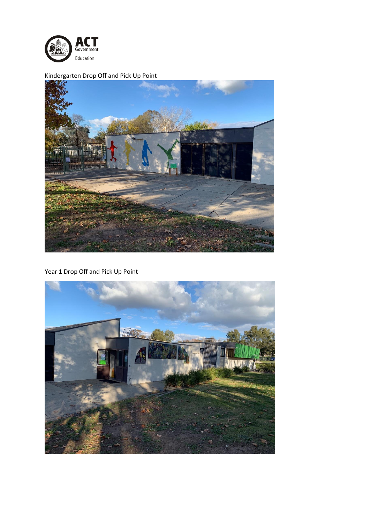

Kindergarten Drop Off and Pick Up Point



Year 1 Drop Off and Pick Up Point